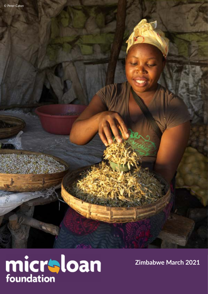å



**Zimbabwe March 2021**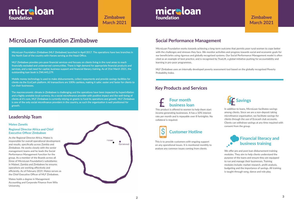## **MicroLoan Foundation Zimbabwe**

### **Leadership Team**

#### **Mateo Zanetic**

#### **Regional Director Africa and Chief Executive Officer Zimbabwe**

As the Regional Director Africa, Mateo is responsible for overall operational development and results, specifically across Zambia and Zimbabwe. He works closely with the senior management teams and he leads the Social Performance Management function for the group. As a member of the Boards across all three of MicroLoan Foundation's subsidiaries in Malawi, Zambia and Zimbabwe he ensures operations are working effectively and efficiently. As of February 2019, Mateo serves as the Chief Executive Officer of MLF Zimbabwe.

Mateo holds a degree in Management Accounting and Corporate Finance from Wits University.



MicroLoan Foundation works towards achieving a long-term outcome that permits poor rural women to cope better with the challenges and stresses they face. We monitor activities and progress towards social and economic goals for our beneficiaries using rigorous and globally recognised systems. Our Social Performance Management model is often cited as an example of best practice, and is recognised by TrueLift, a global initiative pushing for accountability and learning in pro-poor programmes.

MLF Zimbabwe uses an internally developed poverty assessment tool based on the globally recognised Poverty Probability Index.

### **Social Performance Management**

# micraloan foundation

**Zimbabwe March 2021**

# micraloan foundation

MicroLoan Foundation Zimbabwe (MLF Zimbabwe) launched in April 2017. The operations have two branches in the North East of the country with Harare serving as the Head Office.

> We offer pre and post loan disbursement training modules. They aim to help clients understand the purpose of the loans and ensure they are equipped to run and manage their businesses. Training modules include: market research, profit analysis, budgeting and the importance of savings. All training is taught through song, dance and role play.

MLF Zimbabwe provides pro-poor financial services and focuses on clients living in the rural areas to reach financially excluded and underserved communities. There is high demand for appropriate financial products and services, and a real need for capital, business support and financial literacy training. As of 31st March 2021, the outstanding loan book is ZWL445,279.

Mobile money technology is used to make disbursements, collect repayments and provide savings facilities for clients via the EcoCash platform. All transactions are 100% cashless, making it safer, easier and faster for clients to run their businesses.

The macroeconomic climate in Zimbabwe is challenging and the operations have been impacted by hyperinflation and a highly unstable local currency. As a social microfinance provider with positive impact and the well-being of clients at it's core, MLF Zimbabwe is currently relying on grants to fund its operations and growth. MLF Zimbabwe is one of the only social microfinance providers in the country, as such the organisation is well positioned for growth.

#### **Key Products and Services**



This is to provide customers with ongoing support on any operational issues. It is monitored monthly to analyse any common issues coming from clients.

### **Financial literacy and business training**

This product is offered to women to help them start income generating businesses. It has a 10% interest rate per month and is repayable over 8 fortnights. No collateral is required.

### **Four month business loan**



In addition to loans, MicroLoan facilitates savings among clients. Since we are a non-deposit taking microfinance organisation, we facilitate savings for clients through the use of Ecocash club accounts. Clients can withdraw savings at any time required with consent from the group.

### **Zimbabwe March 2021**